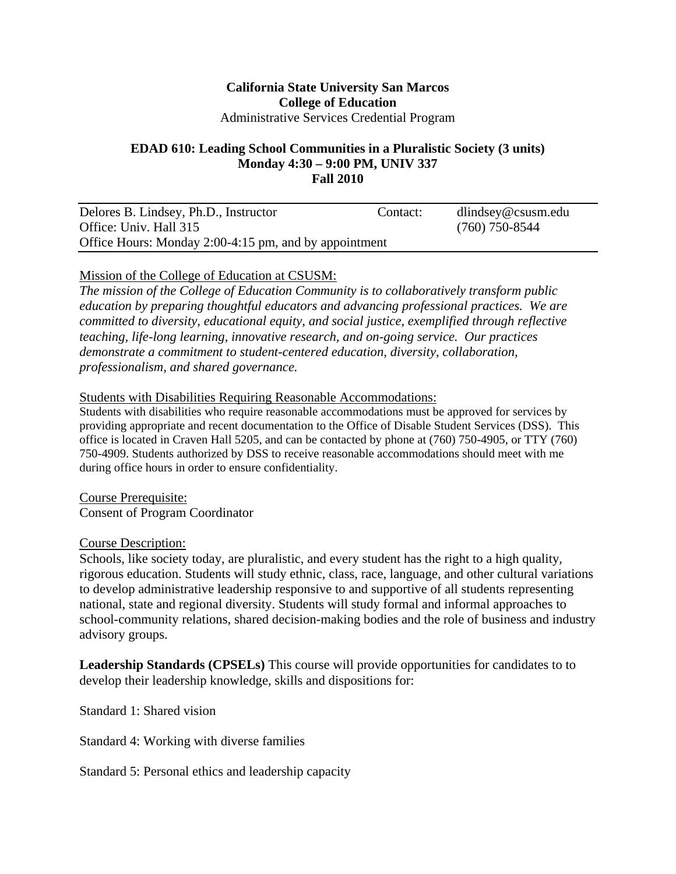### **California State University San Marcos College of Education**  Administrative Services Credential Program

#### **EDAD 610: Leading School Communities in a Pluralistic Society (3 units) Monday 4:30 – 9:00 PM, UNIV 337 Fall 2010**

| Delores B. Lindsey, Ph.D., Instructor                 | Contact: | $d$ lindsey@csusm.edu |  |
|-------------------------------------------------------|----------|-----------------------|--|
| Office: Univ. Hall 315                                |          | $(760)$ 750-8544      |  |
| Office Hours: Monday 2:00-4:15 pm, and by appointment |          |                       |  |

# Mission of the College of Education at CSUSM:

*The mission of the College of Education Community is to collaboratively transform public education by preparing thoughtful educators and advancing professional practices. We are committed to diversity, educational equity, and social justice, exemplified through reflective teaching, life-long learning, innovative research, and on-going service. Our practices demonstrate a commitment to student-centered education, diversity, collaboration, professionalism, and shared governance.* 

#### Students with Disabilities Requiring Reasonable Accommodations:

Students with disabilities who require reasonable accommodations must be approved for services by providing appropriate and recent documentation to the Office of Disable Student Services (DSS). This office is located in Craven Hall 5205, and can be contacted by phone at (760) 750-4905, or TTY (760) 750-4909. Students authorized by DSS to receive reasonable accommodations should meet with me during office hours in order to ensure confidentiality.

Course Prerequisite: Consent of Program Coordinator

#### Course Description:

Schools, like society today, are pluralistic, and every student has the right to a high quality, rigorous education. Students will study ethnic, class, race, language, and other cultural variations to develop administrative leadership responsive to and supportive of all students representing national, state and regional diversity. Students will study formal and informal approaches to school-community relations, shared decision-making bodies and the role of business and industry advisory groups.

**Leadership Standards (CPSELs)** This course will provide opportunities for candidates to to develop their leadership knowledge, skills and dispositions for:

Standard 1: Shared vision

Standard 4: Working with diverse families

Standard 5: Personal ethics and leadership capacity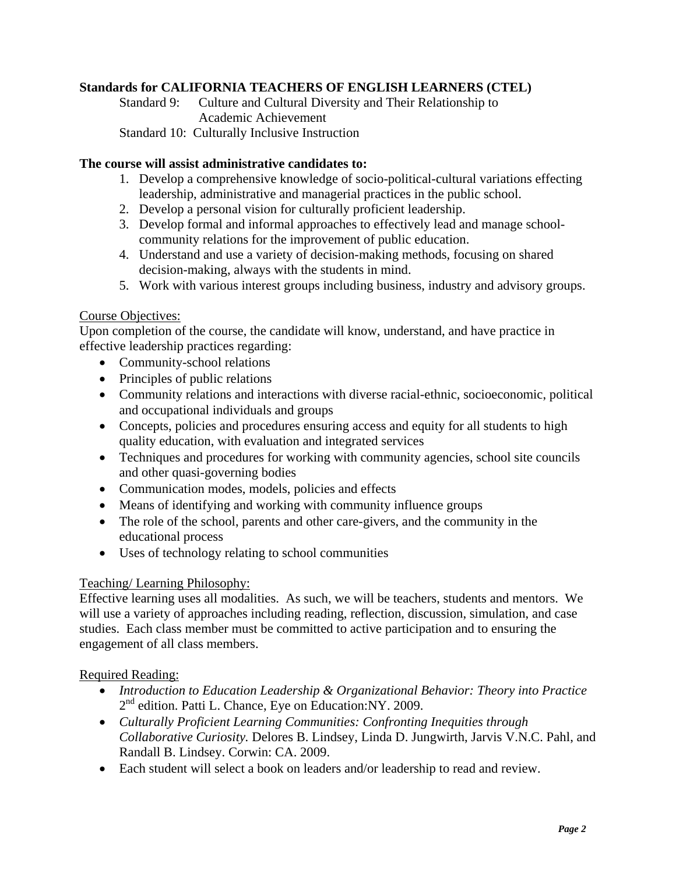# **Standards for CALIFORNIA TEACHERS OF ENGLISH LEARNERS (CTEL)**

Standard 9: Culture and Cultural Diversity and Their Relationship to Academic Achievement Standard 10: Culturally Inclusive Instruction

#### **The course will assist administrative candidates to:**

- 1. Develop a comprehensive knowledge of socio-political-cultural variations effecting leadership, administrative and managerial practices in the public school.
- 2. Develop a personal vision for culturally proficient leadership.
- 3. Develop formal and informal approaches to effectively lead and manage schoolcommunity relations for the improvement of public education.
- 4. Understand and use a variety of decision-making methods, focusing on shared decision-making, always with the students in mind.
- 5. Work with various interest groups including business, industry and advisory groups.

### Course Objectives:

Upon completion of the course, the candidate will know, understand, and have practice in effective leadership practices regarding:

- Community-school relations
- Principles of public relations
- Community relations and interactions with diverse racial-ethnic, socioeconomic, political and occupational individuals and groups
- Concepts, policies and procedures ensuring access and equity for all students to high quality education, with evaluation and integrated services
- Techniques and procedures for working with community agencies, school site councils and other quasi-governing bodies
- Communication modes, models, policies and effects
- Means of identifying and working with community influence groups
- The role of the school, parents and other care-givers, and the community in the educational process
- Uses of technology relating to school communities

#### Teaching/ Learning Philosophy:

Effective learning uses all modalities. As such, we will be teachers, students and mentors. We will use a variety of approaches including reading, reflection, discussion, simulation, and case studies. Each class member must be committed to active participation and to ensuring the engagement of all class members.

#### Required Reading:

- *Introduction to Education Leadership & Organizational Behavior: Theory into Practice*  2<sup>nd</sup> edition. Patti L. Chance, Eye on Education:NY. 2009.
- *Culturally Proficient Learning Communities: Confronting Inequities through Collaborative Curiosity.* Delores B. Lindsey, Linda D. Jungwirth, Jarvis V.N.C. Pahl, and Randall B. Lindsey. Corwin: CA. 2009.
- Each student will select a book on leaders and/or leadership to read and review.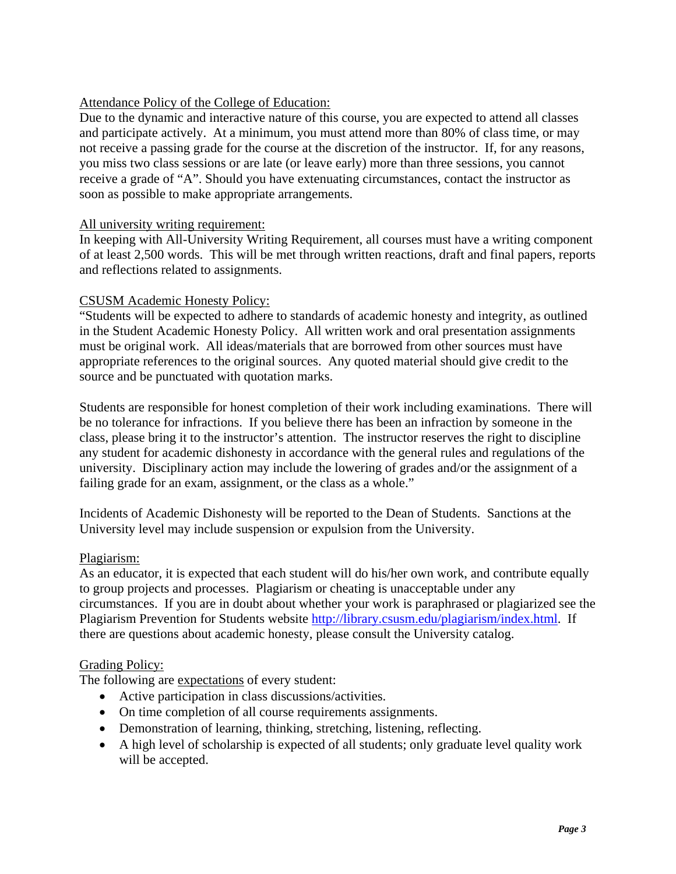# Attendance Policy of the College of Education:

Due to the dynamic and interactive nature of this course, you are expected to attend all classes and participate actively. At a minimum, you must attend more than 80% of class time, or may not receive a passing grade for the course at the discretion of the instructor. If, for any reasons, you miss two class sessions or are late (or leave early) more than three sessions, you cannot receive a grade of "A". Should you have extenuating circumstances, contact the instructor as soon as possible to make appropriate arrangements.

### All university writing requirement:

In keeping with All-University Writing Requirement, all courses must have a writing component of at least 2,500 words. This will be met through written reactions, draft and final papers, reports and reflections related to assignments.

# CSUSM Academic Honesty Policy:

"Students will be expected to adhere to standards of academic honesty and integrity, as outlined in the Student Academic Honesty Policy. All written work and oral presentation assignments must be original work. All ideas/materials that are borrowed from other sources must have appropriate references to the original sources. Any quoted material should give credit to the source and be punctuated with quotation marks.

Students are responsible for honest completion of their work including examinations. There will be no tolerance for infractions. If you believe there has been an infraction by someone in the class, please bring it to the instructor's attention. The instructor reserves the right to discipline any student for academic dishonesty in accordance with the general rules and regulations of the university. Disciplinary action may include the lowering of grades and/or the assignment of a failing grade for an exam, assignment, or the class as a whole."

Incidents of Academic Dishonesty will be reported to the Dean of Students. Sanctions at the University level may include suspension or expulsion from the University.

#### Plagiarism:

As an educator, it is expected that each student will do his/her own work, and contribute equally to group projects and processes. Plagiarism or cheating is unacceptable under any circumstances. If you are in doubt about whether your work is paraphrased or plagiarized see the Plagiarism Prevention for Students website http://library.csusm.edu/plagiarism/index.html. If there are questions about academic honesty, please consult the University catalog.

#### Grading Policy:

The following are expectations of every student:

- Active participation in class discussions/activities.
- On time completion of all course requirements assignments.
- Demonstration of learning, thinking, stretching, listening, reflecting.
- A high level of scholarship is expected of all students; only graduate level quality work will be accepted.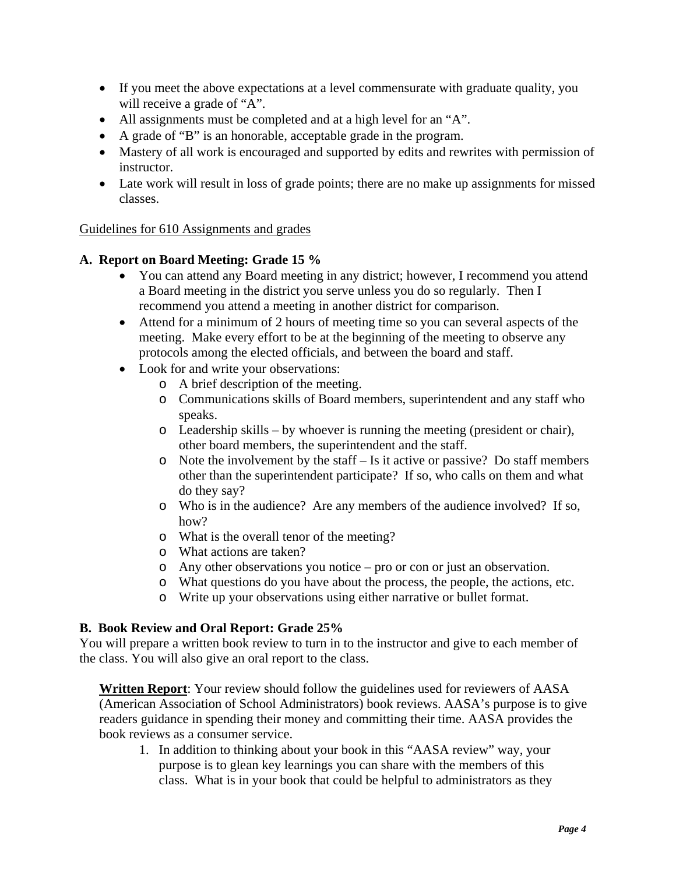- If you meet the above expectations at a level commensurate with graduate quality, you will receive a grade of "A".
- All assignments must be completed and at a high level for an "A".
- A grade of "B" is an honorable, acceptable grade in the program.
- Mastery of all work is encouraged and supported by edits and rewrites with permission of instructor.
- Late work will result in loss of grade points; there are no make up assignments for missed classes.

# Guidelines for 610 Assignments and grades

# **A. Report on Board Meeting: Grade 15 %**

- You can attend any Board meeting in any district; however, I recommend you attend a Board meeting in the district you serve unless you do so regularly. Then I recommend you attend a meeting in another district for comparison.
- Attend for a minimum of 2 hours of meeting time so you can several aspects of the meeting. Make every effort to be at the beginning of the meeting to observe any protocols among the elected officials, and between the board and staff.
- Look for and write your observations:
	- o A brief description of the meeting.
	- o Communications skills of Board members, superintendent and any staff who speaks.
	- o Leadership skills by whoever is running the meeting (president or chair), other board members, the superintendent and the staff.
	- $\circ$  Note the involvement by the staff Is it active or passive? Do staff members other than the superintendent participate? If so, who calls on them and what do they say?
	- o Who is in the audience? Are any members of the audience involved? If so, how?
	- o What is the overall tenor of the meeting?
	- o What actions are taken?
	- o Any other observations you notice pro or con or just an observation.
	- o What questions do you have about the process, the people, the actions, etc.
	- o Write up your observations using either narrative or bullet format.

#### **B. Book Review and Oral Report: Grade 25%**

You will prepare a written book review to turn in to the instructor and give to each member of the class. You will also give an oral report to the class.

**Written Report**: Your review should follow the guidelines used for reviewers of AASA (American Association of School Administrators) book reviews. AASA's purpose is to give readers guidance in spending their money and committing their time. AASA provides the book reviews as a consumer service.

1. In addition to thinking about your book in this "AASA review" way, your purpose is to glean key learnings you can share with the members of this class. What is in your book that could be helpful to administrators as they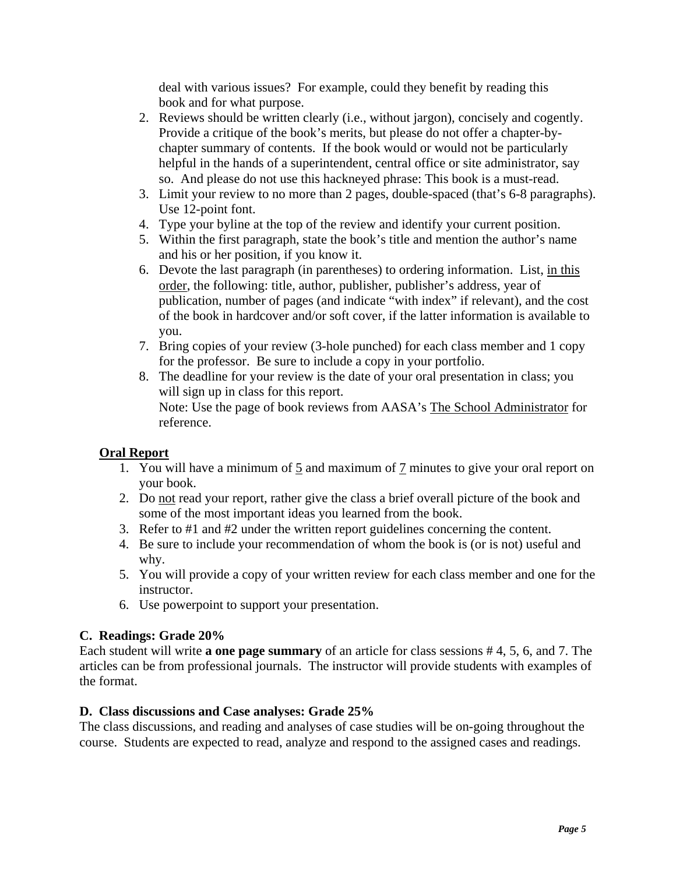deal with various issues? For example, could they benefit by reading this book and for what purpose.

- 2. Reviews should be written clearly (i.e., without jargon), concisely and cogently. Provide a critique of the book's merits, but please do not offer a chapter-bychapter summary of contents. If the book would or would not be particularly helpful in the hands of a superintendent, central office or site administrator, say so. And please do not use this hackneyed phrase: This book is a must-read.
- 3. Limit your review to no more than 2 pages, double-spaced (that's 6-8 paragraphs). Use 12-point font.
- 4. Type your byline at the top of the review and identify your current position.
- 5. Within the first paragraph, state the book's title and mention the author's name and his or her position, if you know it.
- 6. Devote the last paragraph (in parentheses) to ordering information. List, in this order, the following: title, author, publisher, publisher's address, year of publication, number of pages (and indicate "with index" if relevant), and the cost of the book in hardcover and/or soft cover, if the latter information is available to you.
- 7. Bring copies of your review (3-hole punched) for each class member and 1 copy for the professor. Be sure to include a copy in your portfolio.
- 8. The deadline for your review is the date of your oral presentation in class; you will sign up in class for this report. Note: Use the page of book reviews from AASA's The School Administrator for reference.

# **Oral Report**

- 1. You will have a minimum of 5 and maximum of 7 minutes to give your oral report on your book.
- 2. Do not read your report, rather give the class a brief overall picture of the book and some of the most important ideas you learned from the book.
- 3. Refer to #1 and #2 under the written report guidelines concerning the content.
- 4. Be sure to include your recommendation of whom the book is (or is not) useful and why.
- 5. You will provide a copy of your written review for each class member and one for the instructor.
- 6. Use powerpoint to support your presentation.

# **C. Readings: Grade 20%**

Each student will write **a one page summary** of an article for class sessions # 4, 5, 6, and 7. The articles can be from professional journals. The instructor will provide students with examples of the format.

#### **D. Class discussions and Case analyses: Grade 25%**

The class discussions, and reading and analyses of case studies will be on-going throughout the course. Students are expected to read, analyze and respond to the assigned cases and readings.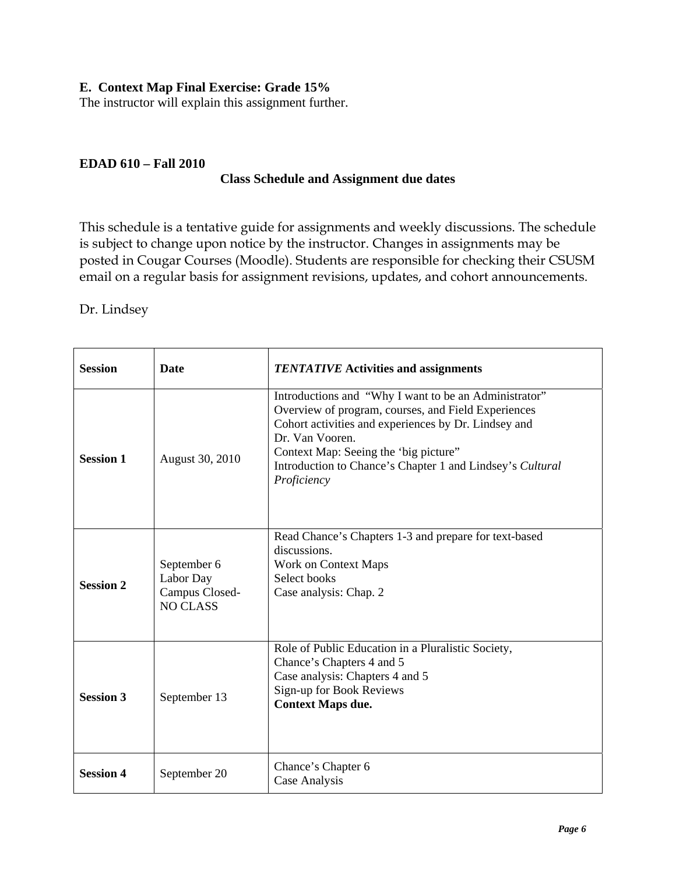### **E. Context Map Final Exercise: Grade 15%**

The instructor will explain this assignment further.

#### **EDAD 610 – Fall 2010**

#### **Class Schedule and Assignment due dates**

This schedule is a tentative guide for assignments and weekly discussions. The schedule is subject to change upon notice by the instructor. Changes in assignments may be posted in Cougar Courses (Moodle). Students are responsible for checking their CSUSM email on a regular basis for assignment revisions, updates, and cohort announcements.

#### Dr. Lindsey

| <b>Session</b>   | <b>Date</b>                                                   | <b>TENTATIVE Activities and assignments</b>                                                                                                                                                                                                                                                                   |
|------------------|---------------------------------------------------------------|---------------------------------------------------------------------------------------------------------------------------------------------------------------------------------------------------------------------------------------------------------------------------------------------------------------|
| <b>Session 1</b> | August 30, 2010                                               | Introductions and "Why I want to be an Administrator"<br>Overview of program, courses, and Field Experiences<br>Cohort activities and experiences by Dr. Lindsey and<br>Dr. Van Vooren.<br>Context Map: Seeing the 'big picture''<br>Introduction to Chance's Chapter 1 and Lindsey's Cultural<br>Proficiency |
| <b>Session 2</b> | September 6<br>Labor Day<br>Campus Closed-<br><b>NO CLASS</b> | Read Chance's Chapters 1-3 and prepare for text-based<br>discussions.<br>Work on Context Maps<br>Select books<br>Case analysis: Chap. 2                                                                                                                                                                       |
| <b>Session 3</b> | September 13                                                  | Role of Public Education in a Pluralistic Society,<br>Chance's Chapters 4 and 5<br>Case analysis: Chapters 4 and 5<br>Sign-up for Book Reviews<br><b>Context Maps due.</b>                                                                                                                                    |
| <b>Session 4</b> | September 20                                                  | Chance's Chapter 6<br>Case Analysis                                                                                                                                                                                                                                                                           |